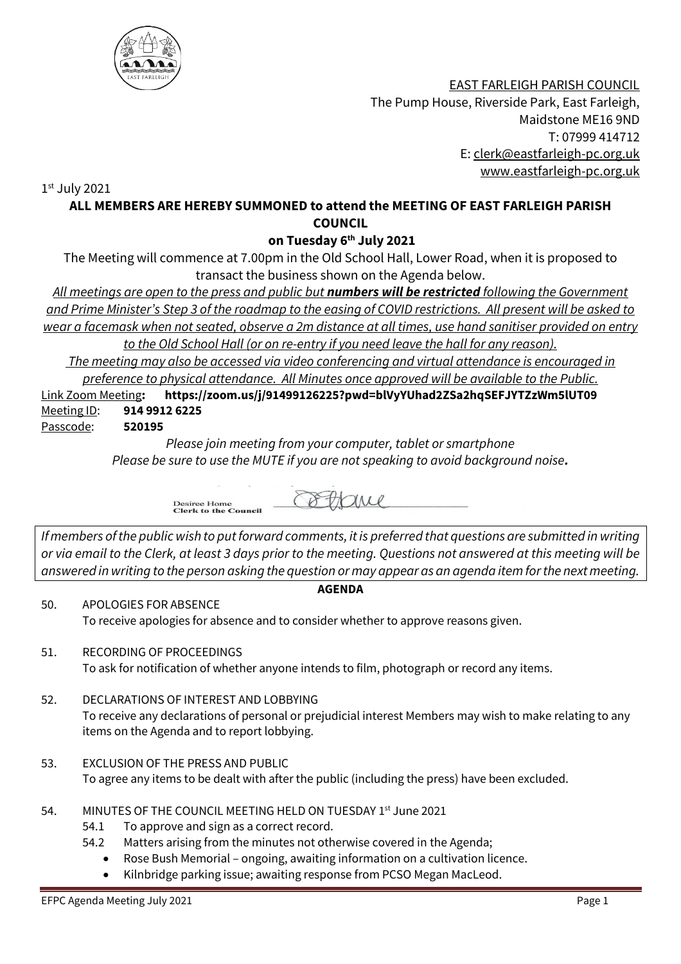

 EAST FARLEIGH PARISH COUNCIL The Pump House, Riverside Park, East Farleigh, Maidstone ME16 9ND T: 07999 414712 E: [clerk@eastfarleigh-pc.org.uk](mailto:clerk@eastfarleigh-pc.org.uk) www.eastfarleigh-pc.org.uk

1 st July 2021

## **ALL MEMBERS ARE HEREBY SUMMONED to attend the MEETING OF EAST FARLEIGH PARISH COUNCIL**

**on Tuesday 6 th July 2021**

The Meeting will commence at 7.00pm in the Old School Hall, Lower Road, when it is proposed to transact the business shown on the Agenda below.

*All meetings are open to the press and public but numbers will be restricted following the Government and Prime Minister's Step 3 of the roadmap to the easing of COVID restrictions. All present will be asked to wear a facemask when not seated, observe a 2m distance at all times, use hand sanitiser provided on entry to the Old School Hall (or on re-entry if you need leave the hall for any reason).* 

*The meeting may also be accessed via video conferencing and virtual attendance is encouraged in preference to physical attendance. All Minutes once approved will be available to the Public.*

Link Zoom Meeting**: https://zoom.us/j/91499126225?pwd=blVyYUhad2ZSa2hqSEFJYTZzWm5lUT09** Meeting ID: **914 9912 6225**

Passcode: **520195**

*Please join meeting from your computer, tablet or smartphone Please be sure to use the MUTE if you are not speaking to avoid background noise.*

Desiree Home<br>Clerk to the Council COULL

*If members of the public wish to put forward comments, it is preferred that questions are submitted in writing or via email to the Clerk, at least 3 days prior to the meeting. Questions not answered at this meeting will be answered in writing to the person asking the question or may appear as an agenda item for the next meeting.* 

## **AGENDA**

50. APOLOGIES FOR ABSENCE To receive apologies for absence and to consider whether to approve reasons given.

- 51. RECORDING OF PROCEEDINGS To ask for notification of whether anyone intends to film, photograph or record any items.
- 52. DECLARATIONS OF INTEREST AND LOBBYING To receive any declarations of personal or prejudicial interest Members may wish to make relating to any items on the Agenda and to report lobbying.
- 53. EXCLUSION OF THE PRESS AND PUBLIC To agree any items to be dealt with after the public (including the press) have been excluded.
- 54. MINUTES OF THE COUNCIL MEETING HELD ON TUESDAY 1st June 2021
	- 54.1 To approve and sign as a correct record.
	- 54.2 Matters arising from the minutes not otherwise covered in the Agenda;
		- Rose Bush Memorial ongoing, awaiting information on a cultivation licence.
		- Kilnbridge parking issue; awaiting response from PCSO Megan MacLeod.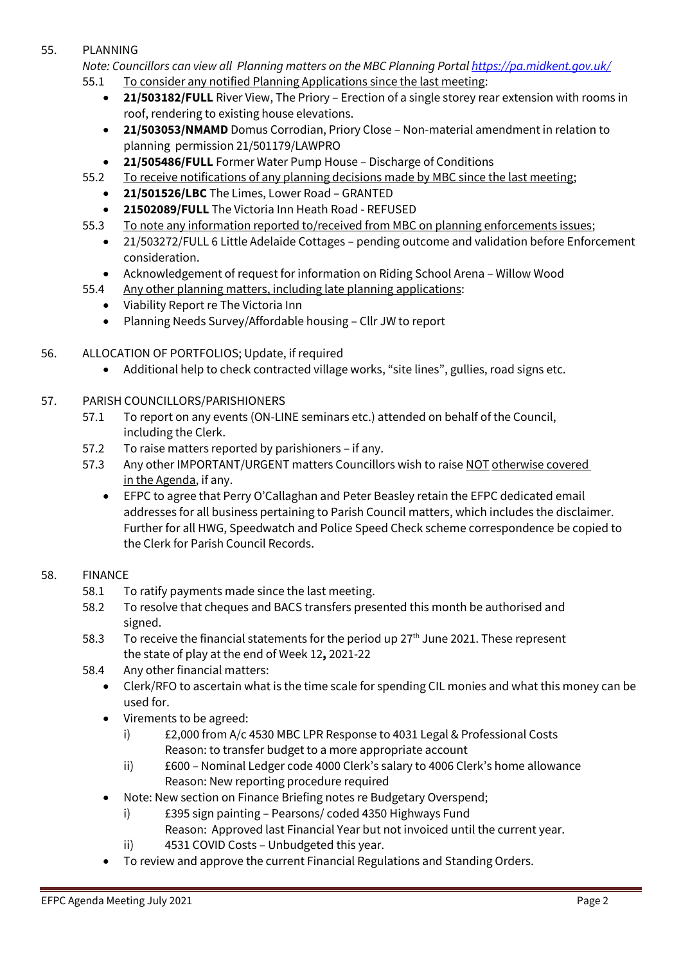## 55. PLANNING

*Note: Councillors can view all Planning matters on the MBC Planning Porta[l https://pa.midkent.gov.uk/](https://pa.midkent.gov.uk/)* 55.1 To consider any notified Planning Applications since the last meeting:

- **21/503182/FULL** River View, The Priory Erection of a single storey rear extension with rooms in roof, rendering to existing house elevations.
- **21/503053/NMAMD** Domus Corrodian, Priory Close Non-material amendment in relation to planning permission 21/501179/LAWPRO
- **21/505486/FULL** Former Water Pump House Discharge of Conditions
- 55.2 To receive notifications of any planning decisions made by MBC since the last meeting;
	- **21/501526/LBC** The Limes, Lower Road GRANTED
	- **21502089/FULL** The Victoria Inn Heath Road REFUSED
- 55.3 To note any information reported to/received from MBC on planning enforcements issues;
	- 21/503272/FULL 6 Little Adelaide Cottages pending outcome and validation before Enforcement consideration.
	- Acknowledgement of request for information on Riding School Arena Willow Wood
- 55.4 Any other planning matters, including late planning applications:
	- Viability Report re The Victoria Inn
	- Planning Needs Survey/Affordable housing Cllr JW to report
- 56. ALLOCATION OF PORTFOLIOS; Update, if required
	- Additional help to check contracted village works, "site lines", gullies, road signs etc.
- 57. PARISH COUNCILLORS/PARISHIONERS
	- 57.1 To report on any events (ON-LINE seminars etc.) attended on behalf of the Council, including the Clerk.
	- 57.2 To raise matters reported by parishioners if any.
	- 57.3 Any other IMPORTANT/URGENT matters Councillors wish to raise NOT otherwise covered in the Agenda, if any.
		- EFPC to agree that Perry O'Callaghan and Peter Beasley retain the EFPC dedicated email addresses for all business pertaining to Parish Council matters, which includes the disclaimer. Further for all HWG, Speedwatch and Police Speed Check scheme correspondence be copied to the Clerk for Parish Council Records.

## 58. FINANCE

- 58.1 To ratify payments made since the last meeting.
- 58.2 To resolve that cheques and BACS transfers presented this month be authorised and signed.
- 58.3 To receive the financial statements for the period up  $27<sup>th</sup>$  June 2021. These represent the state of play at the end of Week 12**,** 2021-22
- 58.4 Any other financial matters:
	- Clerk/RFO to ascertain what is the time scale for spending CIL monies and what this money can be used for.
	- Virements to be agreed:
		- i) £2,000 from A/c 4530 MBC LPR Response to 4031 Legal & Professional Costs Reason: to transfer budget to a more appropriate account
		- ii) £600 Nominal Ledger code 4000 Clerk's salary to 4006 Clerk's home allowance Reason: New reporting procedure required
	- Note: New section on Finance Briefing notes re Budgetary Overspend;
		- i) £395 sign painting Pearsons/ coded 4350 Highways Fund
			- Reason: Approved last Financial Year but not invoiced until the current year.
		- ii) 4531 COVID Costs Unbudgeted this year.
	- To review and approve the current Financial Regulations and Standing Orders.